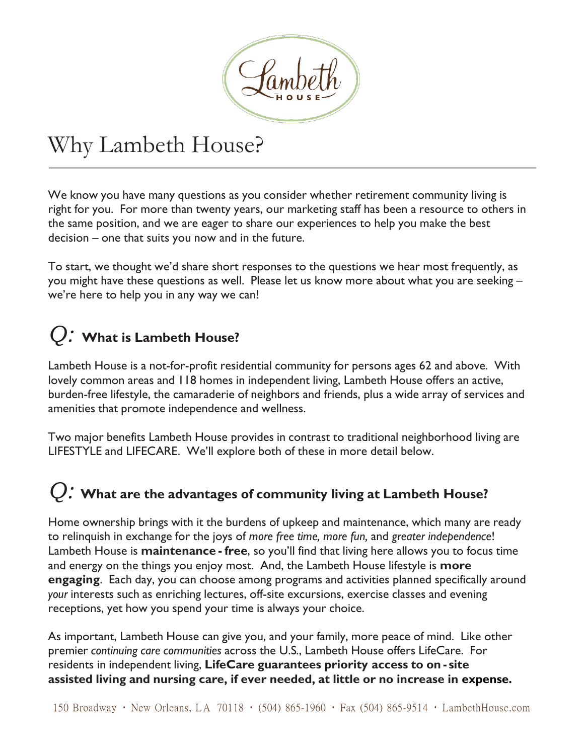

# Why Lambeth House?

We know you have many questions as you consider whether retirement community living is right for you. For more than twenty years, our marketing staff has been a resource to others in the same position, and we are eager to share our experiences to help you make the best decision – one that suits you now and in the future.

To start, we thought we'd share short responses to the questions we hear most frequently, as you might have these questions as well. Please let us know more about what you are seeking – we're here to help you in any way we can!

#### *Q:* **What is Lambeth House?**

Lambeth House is a not-for-profit residential community for persons ages 62 and above. With lovely common areas and 118 homes in independent living, Lambeth House offers an active, burden-free lifestyle, the camaraderie of neighbors and friends, plus a wide array of services and amenities that promote independence and wellness.

Two major benefits Lambeth House provides in contrast to traditional neighborhood living are LIFESTYLE and LIFECARE. We'll explore both of these in more detail below.

### *Q:* **What are the advantages of community living at Lambeth House?**

Home ownership brings with it the burdens of upkeep and maintenance, which many are ready to relinquish in exchange for the joys of *more free time, more fun,* and *greater independence*! Lambeth House is **maintenance - free**, so you'll find that living here allows you to focus time and energy on the things you enjoy most. And, the Lambeth House lifestyle is **more engaging**. Each day, you can choose among programs and activities planned specifically around *your* interests such as enriching lectures, off-site excursions, exercise classes and evening receptions, yet how you spend your time is always your choice.

As important, Lambeth House can give you, and your family, more peace of mind. Like other premier *continuing care communities* across the U.S*.*, Lambeth House offers LifeCare. For residents in independent living, **LifeCare guarantees priority access to on - site assisted living and nursing care, if ever needed, at little or no increase in expense.**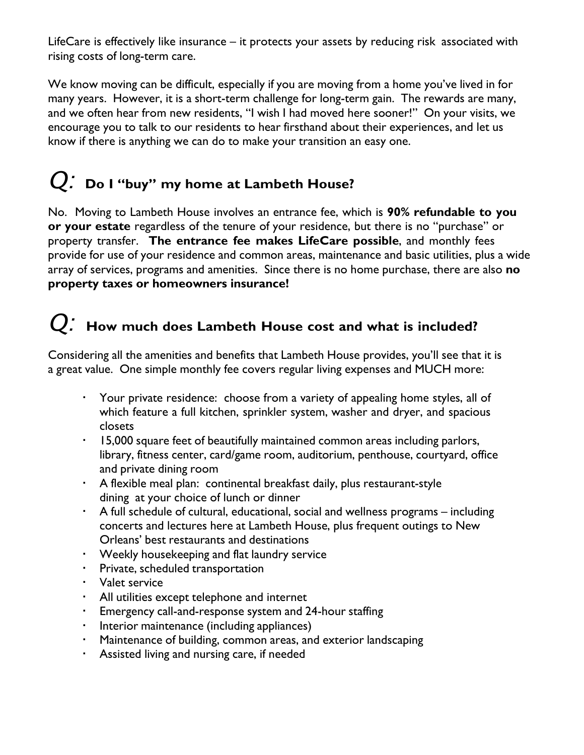LifeCare is effectively like insurance – it protects your assets by reducing risk associated with rising costs of long-term care.

We know moving can be difficult, especially if you are moving from a home you've lived in for many years. However, it is a short-term challenge for long-term gain. The rewards are many, and we often hear from new residents, "I wish I had moved here sooner!" On your visits, we encourage you to talk to our residents to hear firsthand about their experiences, and let us know if there is anything we can do to make your transition an easy one.

## *Q:* **Do <sup>I</sup> "buy" my home at Lambeth House?**

No. Moving to Lambeth House involves an entrance fee, which is **90% refundable to you or your estate** regardless of the tenure of your residence, but there is no "purchase" or property transfer. **The entrance fee makes LifeCare possible**, and monthly fees provide for use of your residence and common areas, maintenance and basic utilities, plus a wide array of services, programs and amenities. Since there is no home purchase, there are also **no property taxes or homeowners insurance!**

### *Q:* **How much does Lambeth House cost and what is included?**

Considering all the amenities and benefits that Lambeth House provides, you'll see that it is a great value. One simple monthly fee covers regular living expenses and MUCH more:

- Your private residence: choose from a variety of appealing home styles, all of which feature a full kitchen, sprinkler system, washer and dryer, and spacious closets
- 15,000 square feet of beautifully maintained common areas including parlors, library, fitness center, card/game room, auditorium, penthouse, courtyard, office and private dining room
- A flexible meal plan: continental breakfast daily, plus restaurant-style dining at your choice of lunch or dinner
- A full schedule of cultural, educational, social and wellness programs including concerts and lectures here at Lambeth House, plus frequent outings to New Orleans' best restaurants and destinations
- Weekly housekeeping and flat laundry service
- Private, scheduled transportation
- Valet service
- All utilities except telephone and internet
- Emergency call-and-response system and 24-hour staffing
- **Interior maintenance (including appliances)**
- Maintenance of building, common areas, and exterior landscaping
- Assisted living and nursing care, if needed